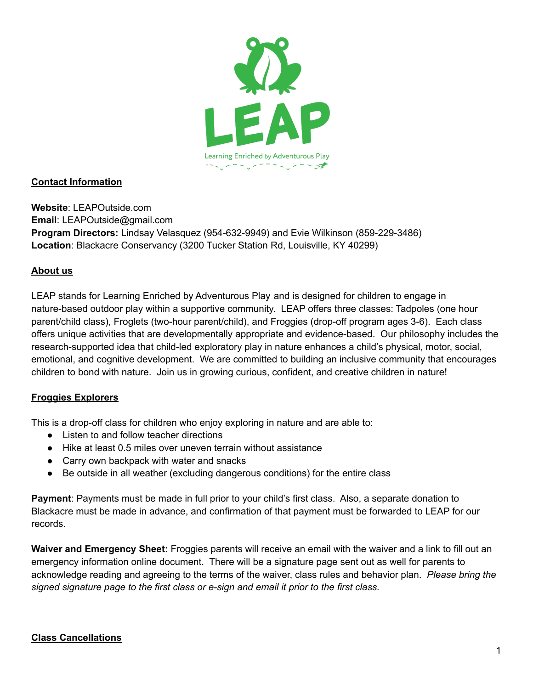

### **Contact Information**

**Website**: LEAPOutside.com **Email**: LEAPOutside@gmail.com **Program Directors:** Lindsay Velasquez (954-632-9949) and Evie Wilkinson (859-229-3486) **Location**: Blackacre Conservancy (3200 Tucker Station Rd, Louisville, KY 40299)

#### **About us**

LEAP stands for Learning Enriched by Adventurous Play and is designed for children to engage in nature-based outdoor play within a supportive community. LEAP offers three classes: Tadpoles (one hour parent/child class), Froglets (two-hour parent/child), and Froggies (drop-off program ages 3-6). Each class offers unique activities that are developmentally appropriate and evidence-based. Our philosophy includes the research-supported idea that child-led exploratory play in nature enhances a child's physical, motor, social, emotional, and cognitive development. We are committed to building an inclusive community that encourages children to bond with nature. Join us in growing curious, confident, and creative children in nature!

### **Froggies Explorers**

This is a drop-off class for children who enjoy exploring in nature and are able to:

- Listen to and follow teacher directions
- Hike at least 0.5 miles over uneven terrain without assistance
- Carry own backpack with water and snacks
- Be outside in all weather (excluding dangerous conditions) for the entire class

**Payment**: Payments must be made in full prior to your child's first class. Also, a separate donation to Blackacre must be made in advance, and confirmation of that payment must be forwarded to LEAP for our records.

**Waiver and Emergency Sheet:** Froggies parents will receive an email with the waiver and a link to fill out an emergency information online document. There will be a signature page sent out as well for parents to acknowledge reading and agreeing to the terms of the waiver, class rules and behavior plan. *Please bring the signed signature page to the first class or e-sign and email it prior to the first class.*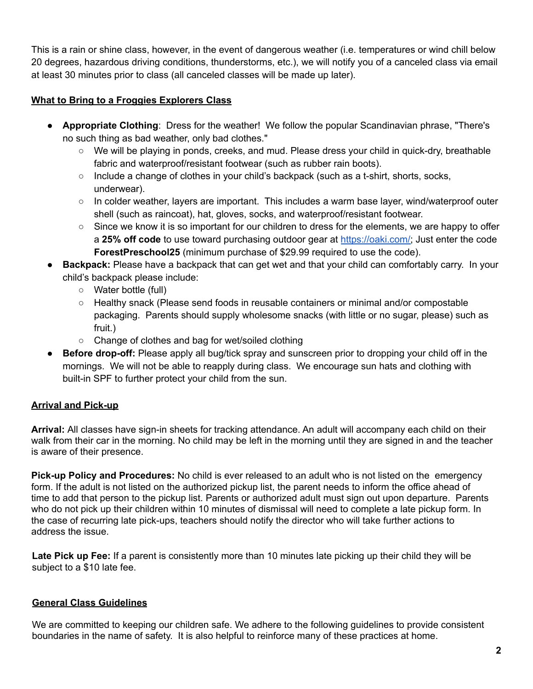This is a rain or shine class, however, in the event of dangerous weather (i.e. temperatures or wind chill below 20 degrees, hazardous driving conditions, thunderstorms, etc.), we will notify you of a canceled class via email at least 30 minutes prior to class (all canceled classes will be made up later).

### **What to Bring to a Froggies Explorers Class**

- **Appropriate Clothing**: Dress for the weather! We follow the popular Scandinavian phrase, "There's no such thing as bad weather, only bad clothes."
	- We will be playing in ponds, creeks, and mud. Please dress your child in quick-dry, breathable fabric and waterproof/resistant footwear (such as rubber rain boots).
	- $\circ$  Include a change of clothes in your child's backpack (such as a t-shirt, shorts, socks, underwear).
	- In colder weather, layers are important. This includes a warm base layer, wind/waterproof outer shell (such as raincoat), hat, gloves, socks, and waterproof/resistant footwear.
	- $\circ$  Since we know it is so important for our children to dress for the elements, we are happy to offer a **25% off code** to use toward purchasing outdoor gear at [https://oaki.com/;](https://oaki.com/) Just enter the code **ForestPreschool25** (minimum purchase of \$29.99 required to use the code).
- **Backpack:** Please have a backpack that can get wet and that your child can comfortably carry. In your child's backpack please include:
	- **○** Water bottle (full)
	- **○** Healthy snack (Please send foods in reusable containers or minimal and/or compostable packaging. Parents should supply wholesome snacks (with little or no sugar, please) such as fruit.)
	- **○** Change of clothes and bag for wet/soiled clothing
- **Before drop-off:** Please apply all bug/tick spray and sunscreen prior to dropping your child off in the mornings. We will not be able to reapply during class. We encourage sun hats and clothing with built-in SPF to further protect your child from the sun.

# **Arrival and Pick-up**

**Arrival:** All classes have sign-in sheets for tracking attendance. An adult will accompany each child on their walk from their car in the morning. No child may be left in the morning until they are signed in and the teacher is aware of their presence.

**Pick-up Policy and Procedures:** No child is ever released to an adult who is not listed on the emergency form. If the adult is not listed on the authorized pickup list, the parent needs to inform the office ahead of time to add that person to the pickup list. Parents or authorized adult must sign out upon departure. Parents who do not pick up their children within 10 minutes of dismissal will need to complete a late pickup form. In the case of recurring late pick-ups, teachers should notify the director who will take further actions to address the issue.

**Late Pick up Fee:** If a parent is consistently more than 10 minutes late picking up their child they will be subject to a \$10 late fee.

### **General Class Guidelines**

We are committed to keeping our children safe. We adhere to the following guidelines to provide consistent boundaries in the name of safety. It is also helpful to reinforce many of these practices at home.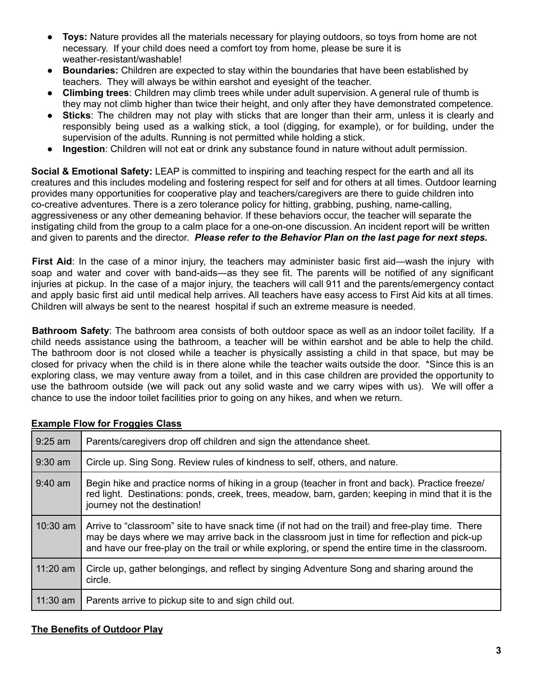- **Toys:** Nature provides all the materials necessary for playing outdoors, so toys from home are not necessary. If your child does need a comfort toy from home, please be sure it is weather-resistant/washable!
- **Boundaries:** Children are expected to stay within the boundaries that have been established by teachers. They will always be within earshot and eyesight of the teacher.
- **Climbing trees**: Children may climb trees while under adult supervision. A general rule of thumb is they may not climb higher than twice their height, and only after they have demonstrated competence.
- **Sticks**: The children may not play with sticks that are longer than their arm, unless it is clearly and responsibly being used as a walking stick, a tool (digging, for example), or for building, under the supervision of the adults. Running is not permitted while holding a stick.
- **Ingestion**: Children will not eat or drink any substance found in nature without adult permission.

**Social & Emotional Safety:** LEAP is committed to inspiring and teaching respect for the earth and all its creatures and this includes modeling and fostering respect for self and for others at all times. Outdoor learning provides many opportunities for cooperative play and teachers/caregivers are there to guide children into co-creative adventures. There is a zero tolerance policy for hitting, grabbing, pushing, name-calling, aggressiveness or any other demeaning behavior. If these behaviors occur, the teacher will separate the instigating child from the group to a calm place for a one-on-one discussion. An incident report will be written and given to parents and the director. *Please refer to the Behavior Plan on the last page for next steps.*

**First Aid**: In the case of a minor injury, the teachers may administer basic first aid—wash the injury with soap and water and cover with band-aids—as they see fit. The parents will be notified of any significant injuries at pickup. In the case of a major injury, the teachers will call 911 and the parents/emergency contact and apply basic first aid until medical help arrives. All teachers have easy access to First Aid kits at all times. Children will always be sent to the nearest hospital if such an extreme measure is needed.

**Bathroom Safety**: The bathroom area consists of both outdoor space as well as an indoor toilet facility. If a child needs assistance using the bathroom, a teacher will be within earshot and be able to help the child. The bathroom door is not closed while a teacher is physically assisting a child in that space, but may be closed for privacy when the child is in there alone while the teacher waits outside the door. \*Since this is an exploring class, we may venture away from a toilet, and in this case children are provided the opportunity to use the bathroom outside (we will pack out any solid waste and we carry wipes with us). We will offer a chance to use the indoor toilet facilities prior to going on any hikes, and when we return.

| $9:25$ am  | Parents/caregivers drop off children and sign the attendance sheet.                                                                                                                                                                                                                                      |  |
|------------|----------------------------------------------------------------------------------------------------------------------------------------------------------------------------------------------------------------------------------------------------------------------------------------------------------|--|
| $9:30$ am  | Circle up. Sing Song. Review rules of kindness to self, others, and nature.                                                                                                                                                                                                                              |  |
| $9:40$ am  | Begin hike and practice norms of hiking in a group (teacher in front and back). Practice freeze/<br>red light. Destinations: ponds, creek, trees, meadow, barn, garden; keeping in mind that it is the<br>journey not the destination!                                                                   |  |
| $10:30$ am | Arrive to "classroom" site to have snack time (if not had on the trail) and free-play time. There<br>may be days where we may arrive back in the classroom just in time for reflection and pick-up<br>and have our free-play on the trail or while exploring, or spend the entire time in the classroom. |  |
| $11:20$ am | Circle up, gather belongings, and reflect by singing Adventure Song and sharing around the<br>circle.                                                                                                                                                                                                    |  |
| $11:30$ am | Parents arrive to pickup site to and sign child out.                                                                                                                                                                                                                                                     |  |

### **Example Flow for Froggies Class**

#### **The Benefits of Outdoor Play**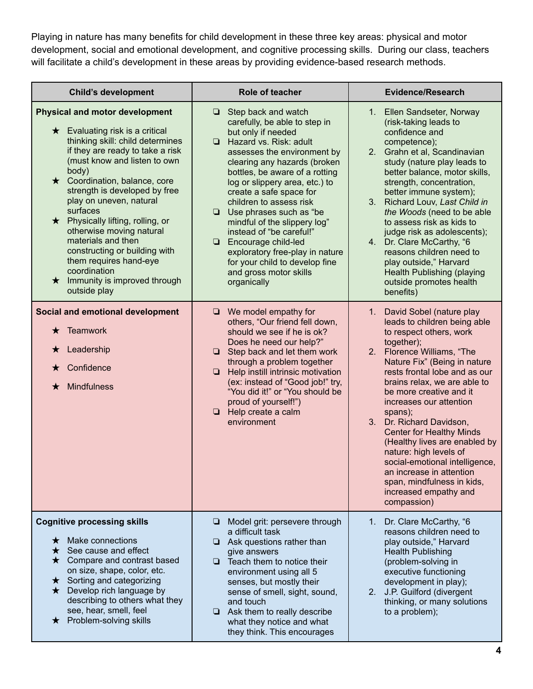Playing in nature has many benefits for child development in these three key areas: physical and motor development, social and emotional development, and cognitive processing skills. During our class, teachers will facilitate a child's development in these areas by providing evidence-based research methods.

| <b>Child's development</b>                                                                                                                                                                                                                                                                                                                                                                                                                                                                                                         | Role of teacher                                                                                                                                                                                                                                                                                                                                                                                                                                                                                                                              | <b>Evidence/Research</b>                                                                                                                                                                                                                                                                                                                                                                                                                                                                                                                                           |
|------------------------------------------------------------------------------------------------------------------------------------------------------------------------------------------------------------------------------------------------------------------------------------------------------------------------------------------------------------------------------------------------------------------------------------------------------------------------------------------------------------------------------------|----------------------------------------------------------------------------------------------------------------------------------------------------------------------------------------------------------------------------------------------------------------------------------------------------------------------------------------------------------------------------------------------------------------------------------------------------------------------------------------------------------------------------------------------|--------------------------------------------------------------------------------------------------------------------------------------------------------------------------------------------------------------------------------------------------------------------------------------------------------------------------------------------------------------------------------------------------------------------------------------------------------------------------------------------------------------------------------------------------------------------|
| <b>Physical and motor development</b><br>$\star$ Evaluating risk is a critical<br>thinking skill: child determines<br>if they are ready to take a risk<br>(must know and listen to own<br>body)<br>★ Coordination, balance, core<br>strength is developed by free<br>play on uneven, natural<br>surfaces<br>★ Physically lifting, rolling, or<br>otherwise moving natural<br>materials and then<br>constructing or building with<br>them requires hand-eye<br>coordination<br>$\star$ Immunity is improved through<br>outside play | Step back and watch<br>▫<br>carefully, be able to step in<br>but only if needed<br>Hazard vs. Risk: adult<br>assesses the environment by<br>clearing any hazards (broken<br>bottles, be aware of a rotting<br>log or slippery area, etc.) to<br>create a safe space for<br>children to assess risk<br>$\Box$ Use phrases such as "be<br>mindful of the slippery log"<br>instead of "be careful!"<br><b>Encourage child-led</b><br>exploratory free-play in nature<br>for your child to develop fine<br>and gross motor skills<br>organically | 1. Ellen Sandseter, Norway<br>(risk-taking leads to<br>confidence and<br>competence);<br>2. Grahn et al, Scandinavian<br>study (nature play leads to<br>better balance, motor skills,<br>strength, concentration,<br>better immune system);<br>Richard Louv, Last Child in<br>3.<br>the Woods (need to be able<br>to assess risk as kids to<br>judge risk as adolescents);<br>4. Dr. Clare McCarthy, "6<br>reasons children need to<br>play outside," Harvard<br>Health Publishing (playing<br>outside promotes health<br>benefits)                                |
| Social and emotional development<br>Teamwork<br>$\star$<br>Leadership<br>$\star$<br>Confidence<br>Mindfulness<br>$\star$                                                                                                                                                                                                                                                                                                                                                                                                           | $\Box$ We model empathy for<br>others, "Our friend fell down,<br>should we see if he is ok?<br>Does he need our help?"<br>$\Box$ Step back and let them work<br>through a problem together<br>$\Box$ Help instill intrinsic motivation<br>(ex: instead of "Good job!" try,<br>"You did it!" or "You should be<br>proud of yourself!")<br>$\Box$ Help create a calm<br>environment                                                                                                                                                            | 1. David Sobel (nature play<br>leads to children being able<br>to respect others, work<br>together);<br>2. Florence Williams, "The<br>Nature Fix" (Being in nature<br>rests frontal lobe and as our<br>brains relax, we are able to<br>be more creative and it<br>increases our attention<br>spans);<br>3. Dr. Richard Davidson,<br><b>Center for Healthy Minds</b><br>(Healthy lives are enabled by<br>nature: high levels of<br>social-emotional intelligence,<br>an increase in attention<br>span, mindfulness in kids,<br>increased empathy and<br>compassion) |
| <b>Cognitive processing skills</b><br>Make connections<br>$\star$<br>See cause and effect<br>★<br>$\star$ Compare and contrast based<br>on size, shape, color, etc.<br>$\star$ Sorting and categorizing<br>$\star$ Develop rich language by<br>describing to others what they<br>see, hear, smell, feel<br>★ Problem-solving skills                                                                                                                                                                                                | Model grit: persevere through<br>❏.<br>a difficult task<br>$\Box$ Ask questions rather than<br>give answers<br>Teach them to notice their<br>environment using all 5<br>senses, but mostly their<br>sense of smell, sight, sound,<br>and touch<br>$\Box$ Ask them to really describe<br>what they notice and what<br>they think. This encourages                                                                                                                                                                                             | Dr. Clare McCarthy, "6<br>1.<br>reasons children need to<br>play outside," Harvard<br><b>Health Publishing</b><br>(problem-solving in<br>executive functioning<br>development in play);<br>2. J.P. Guilford (divergent<br>thinking, or many solutions<br>to a problem);                                                                                                                                                                                                                                                                                            |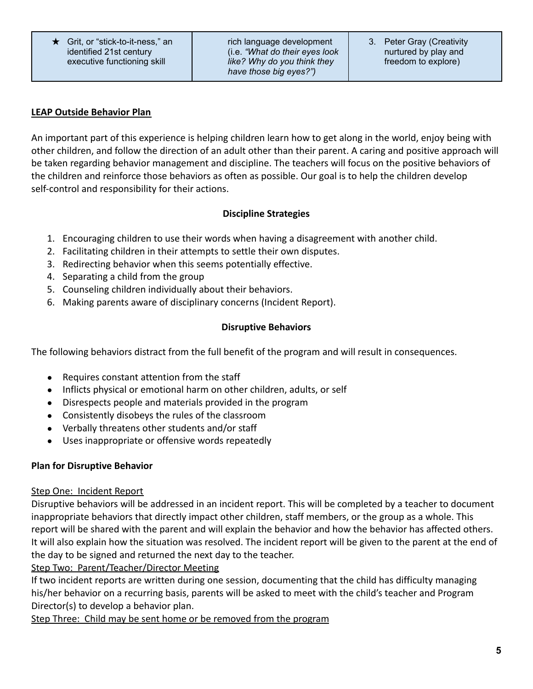★ Grit, or "stick-to-it-ness," an identified 21st century executive functioning skill

rich language development (i.e. *"What do their eyes look like? Why do you think they have those big eyes?")*

### **LEAP Outside Behavior Plan**

An important part of this experience is helping children learn how to get along in the world, enjoy being with other children, and follow the direction of an adult other than their parent. A caring and positive approach will be taken regarding behavior management and discipline. The teachers will focus on the positive behaviors of the children and reinforce those behaviors as often as possible. Our goal is to help the children develop self-control and responsibility for their actions.

# **Discipline Strategies**

- 1. Encouraging children to use their words when having a disagreement with another child.
- 2. Facilitating children in their attempts to settle their own disputes.
- 3. Redirecting behavior when this seems potentially effective.
- 4. Separating a child from the group
- 5. Counseling children individually about their behaviors.
- 6. Making parents aware of disciplinary concerns (Incident Report).

# **Disruptive Behaviors**

The following behaviors distract from the full benefit of the program and will result in consequences.

- Requires constant attention from the staff
- Inflicts physical or emotional harm on other children, adults, or self
- Disrespects people and materials provided in the program
- Consistently disobeys the rules of the classroom
- Verbally threatens other students and/or staff
- Uses inappropriate or offensive words repeatedly

### **Plan for Disruptive Behavior**

### Step One: Incident Report

Disruptive behaviors will be addressed in an incident report. This will be completed by a teacher to document inappropriate behaviors that directly impact other children, staff members, or the group as a whole. This report will be shared with the parent and will explain the behavior and how the behavior has affected others. It will also explain how the situation was resolved. The incident report will be given to the parent at the end of the day to be signed and returned the next day to the teacher.

Step Two: Parent/Teacher/Director Meeting

If two incident reports are written during one session, documenting that the child has difficulty managing his/her behavior on a recurring basis, parents will be asked to meet with the child's teacher and Program Director(s) to develop a behavior plan.

Step Three: Child may be sent home or be removed from the program